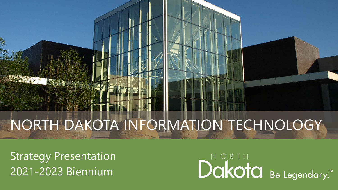# NORTH DAKOTA INFORMATION TECHNOLOGY

Strategy Presentation 2021-2023 Biennium

大学 10

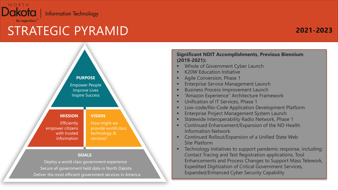

### STRATEGIC PYRAMID

### **2021-2023**



#### **Significant NDIT Accomplishments, Previous Biennium (2019-2021):**

- **Whole of Government Cyber Launch**
- **K20W Education Initiative**
- **Agile Conversion, Phase 1**
- Enterprise Service Management Launch
- Business Process Improvement Launch
- "Amazon Experience" Architecture Framework
- **Unification of IT Services, Phase 1**
- **EXECOM-Code-Code Application Development Platform**
- **Enterprise Project Management System Launch**
- Statewide Interoperability Radio Network, Phase 1
- **Continued Enhancement/Expansion of the ND Health** Information Network
- **EXPANSIGE Continued Rollout/Expansion of a Unified State Web** Site Platform
- **EXECO FIGUREY 1** Technology initiatives to support pandemic response, including: Contact Tracing and Test Registration applications, Tool Enhancements and Process Changes to Support Mass Telework, Expedited Digitization of Critical Government Services, Expanded/Enhanced Cyber Security Capability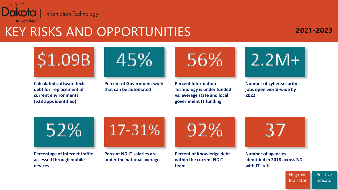

# KEY RISKS AND OPPORTUNITIES

### **2021-2023**





**Percent of Government work that can be automated**



**Percent Information Technology is under funded vs. average state and local government IT funding**



**Number of cyber security jobs open world-wide by 2022**

**Percentage of Internet traffic accessed through mobile devices**



**Percent ND IT salaries are under the national average**



**Percent of Knowledge debt within the current NDIT team**



**Number of agencies identified in 2018 across ND with IT staff**

**Negative** Indicator **Positive** Indicator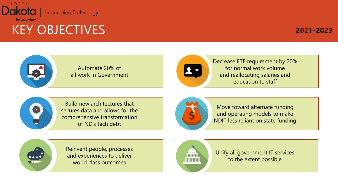

### KEY OBJECTIVES

### **2021-2023**





Decrease FTE requirement by 20% for normal work volume and reallocating salaries and education to staff



 $\bullet \bullet \bullet \bullet$ 

Build new architectures that secures data and allows for the comprehensive transformation of ND's tech debt



Move toward alternate funding and operating models to make NDIT less reliant on state funding

Reinvent people, processes and experiences to deliver world class outcomes



Unify all government IT services to the extent possible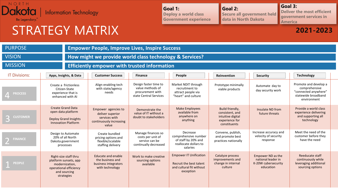

### STRATEGY MATRIX

**Goal 3: Deliver the most efficient government services in America**

#### **2021-2023**

| <b>PURPOSE</b>                  |                                                                                                                          | <b>Empower People, Improve Lives, Inspire Success</b>                                        |                                                                                         |                                                                                                   |                                                                                           |                                                                             |                                                                                                      |
|---------------------------------|--------------------------------------------------------------------------------------------------------------------------|----------------------------------------------------------------------------------------------|-----------------------------------------------------------------------------------------|---------------------------------------------------------------------------------------------------|-------------------------------------------------------------------------------------------|-----------------------------------------------------------------------------|------------------------------------------------------------------------------------------------------|
| <b>VISION</b>                   |                                                                                                                          | How might we provide world class technology & Services?                                      |                                                                                         |                                                                                                   |                                                                                           |                                                                             |                                                                                                      |
| <b>MISSION</b>                  |                                                                                                                          | <b>Efficiently empower with trusted information</b>                                          |                                                                                         |                                                                                                   |                                                                                           |                                                                             |                                                                                                      |
| <b>IT Divisions:</b>            | Apps, Insights, & Data                                                                                                   | <b>Customer Success</b>                                                                      | <b>Finance</b>                                                                          | People                                                                                            | Reinvention                                                                               | <b>Security</b>                                                             | <b>Technology</b>                                                                                    |
| <b>PROCESS</b>                  | Create a frictionless<br>Citizen-State<br>experience that is<br>enhanced with AI                                         | Align enabling tech<br>with state/agency<br>needs                                            | Design faster time to<br>value methods of<br>procurement with<br>state Central Services | Market NDIT through<br>recruitment to<br>attract people via<br>"heart" and culture                | Prototype minimally<br>viable products                                                    | Automate day to<br>day security work                                        | Promote and develop a<br>comprehensive<br>"connected anywhere"<br>statewide broadband<br>environment |
| <b>CUSTOMER</b><br>D<br>D       | <b>Create Grand Data</b><br>open data platform<br><b>Deploy Grand Insights</b><br><b>Innovation Platform</b>             | Empower agencies to<br>deliver superior<br>services with<br>continuously increasing<br>value | Demonstrate the<br>value of IT without a<br>doubt to stakeholders                       | Make Employees<br>available from<br>anywhere on<br>anything                                       | Build friendly,<br>consistent, and<br>intuitive digital<br>experience for<br>constituents | Insulate ND from<br>future threats                                          | Provide a world class<br>experience delivering<br>and supporting all<br>technology                   |
| <b>FINANCE</b><br><b>Single</b> | Design to Automate<br>20% of all North<br>Dakota government<br>processes                                                 | Create bundled<br>pricing options and<br>flexible/scalable<br>staffing delivery              | Manage finances so<br>costs per unit of<br>service can be<br>continually decreased      | Decrease<br>comprehensive number<br>of staff by 20% and<br>reallocate dollars to<br>salaries      | Convene, publish,<br>and promote best<br>practices nationally                             | Increase accuracy and<br>velocity of security<br>response                   | Meet the need of the<br>customer before they<br>have the need                                        |
| <b>PEOPLE</b>                   | Right-size staff thru<br>platform sunsets, app<br>modernization,<br>operational efficiency<br>and sourcing<br>strategies | Educate and enable<br>the business and<br>business integrators<br>with technology            | Work to make creative<br>sourcing options<br>available                                  | <b>Empower IT Unification</b><br>Recruit the best talent<br>and cultural fit without<br>exception | Catalyze process<br>improvements and<br>change in internal<br>culture                     | Empower ND as the<br>national leader in<br>K-20W cybersecurity<br>education | Reeducate staff<br>continuously while<br>leveraging additional<br>sourcing options                   |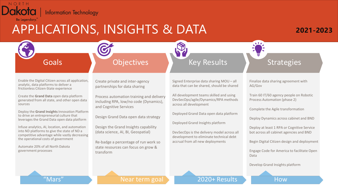

### APPLICATIONS, INSIGHTS & DATA

### **2021-2023**

### Goals

### **Objectives**

Enable the Digital Citizen across all application, analytic, data platforms to deliver a frictionless Citizen-State experience

Create the **Grand Data** open data platform generated from all state, and other open data sources

Deploy the **Grand Insights** Innovation Platform to drive an entrepreneurial culture that leverages the Grand Data open data platform

Infuse analytics, AI, location, and automation into ND platforms to give the state of ND a competitive advantage while vastly decreasing the operational costs of government

Automate 20% of all North Dakota government processes

Create private and inter-agency partnerships for data sharing

Process automation training and delivery including RPA, low/no code (Dynamics), and Cognitive Services

Design Grand Data open data strategy

Design the Grand Insights capability (data science, AI, BI, Geospatial)

Re-badge a percentage of run work so state resources can focus on grow & transform

Signed Enterprise data sharing MOU – all data that can be shared, should be shared

Key Results

All development teams skilled and using DevSecOps/agile/Dynamics/RPA methods across all development

Deployed Grand Data open data platform

Deployed Grand Insights platform

DevSecOps is the delivery model across all development to eliminate technical debt accrual from all new deployments

Finalize data sharing agreement with AG/Gov

 $\sqrt{17}$ 

**Strategies** 

Train 60 IT/60 agency people on Robotic Process Automation (phase 2)

Complete the Agile transformation

Deploy Dynamics across cabinet and BND

Deploy at least 1 RPA or Cognitive Service bot across all cabinet agencies and BND

Begin Digital Citizen design and deployment

Engage Code for America to facilitate Open Data

Develop Grand Insights platform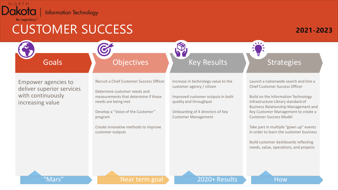

# CUSTOMER SUCCESS

#### **2021-2023**

**Goals** 

### **Objectives**

Empower agencies to deliver superior services with continuously increasing value

Recruit a Chief Customer Success Officer

Determine customer needs and measurements that determine if those needs are being met

Develop a "Voice of the Customer" program

Create innovative methods to improve customer outputs

Increase in technology value to the customer agency / citizen

Key Results

Improved customer outputs in both quality and throughput

Onboarding of 4 directors of Key Customer Management

Launch a nationwide search and hire a Chief Customer Success Officer

**Strategies** 

Build on the Information Technology Infrastructure Library standard of Business Relationship Management and Key Customer Management to create a Customer Success Model

Take part in multiple "gown up" events in order to learn the customer business

Build customer dashboards reflecting needs, value, operations, and projects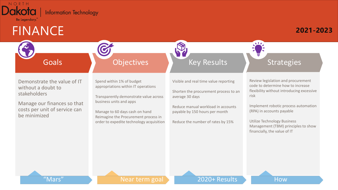

### FINANCE

#### **2021-2023**

### Goals

### **Objectives**

Demonstrate the value of IT without a doubt to stakeholders

Manage our finances so that costs per unit of service can be minimized

Spend within 1% of budget appropriations within IT operations

Transparently demonstrate value across business units and apps

Manage to 60 days cash on hand Reimagine the Procurement process in order to expedite technology acquisition Visible and real time value reporting

Key Results

Shorten the procurement process to an average 30 days

Reduce manual workload in accounts payable by 150 hours per month

Reduce the number of rates by 15%

**Strategies** 

Review legislation and procurement code to determine how to increase flexibility without introducing excessive risk

Implement robotic process automation (RPA) in accounts payable

Utilize Technology Business Management (TBM) principles to show financially, the value of IT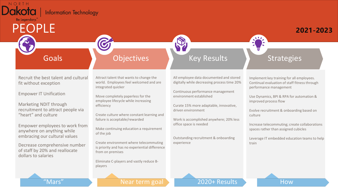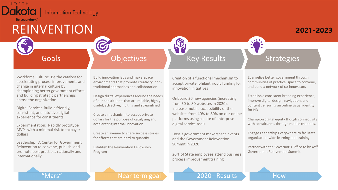

Digital Service: Build a friendly, consistent, and intuitive digital experience for constituents

Experimentation: Rapidly prototype MVPs with a minimal risk to taxpayer dollars

Leadership: A Center for Government Reinvention to convene, publish, and promote best practices nationally and internationally

useful, attractive, inviting and streamlined

Create a mechanism to accept private dollars for the purpose of catalyzing and accelerating internal innovation

Create an avenue to share success stories for efforts that are hard to quantify

Establish the Reinvention Fellowship Program

from 50 to 80 websites in 2020). Increase mobile-accessibility of the websites from 40% to 80% on our online platforms using a suite of enterprise digital service tools

Host 3 government makerspace events and the Government Reinvention Summit in 2020

20% of State employees attend business process improvement training

Government Reinvention Summit

Champion digital equity though connectivity with constituents through mobile channels.

Engage Leadership Everywhere to facilitate organization-wide learning and training

Partner with the Governor's Office to kickoff

for ND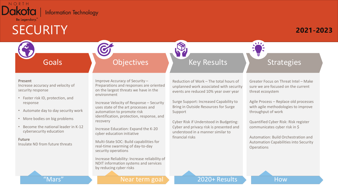

# **SECURITY**

### **2021-2023**

#### Goals

### **Objectives**

#### **Present**

Increase accuracy and velocity of security response

- Faster risk ID, protection, and response
- Automate day to day security work
- More bodies on big problems
- Become the national leader in K-12 cybersecurity education

**Future** Insulate ND from future threats Improve Accuracy of Security – Preparations and responses are oriented on the largest threats we have in the environment

Increase Velocity of Response – Security uses state of the art processes and automation to promote risk identification, protection, response, and recovery

Increase Education: Expand the K-20 cyber education initiative

Multi-State SOC: Build capabilities for real-time swarming of day-to-day security operations

Increase Reliability: Increase reliability of NDIT information systems and services by reducing cyber risks

Reduction of Work – The total hours of unplanned work associated with security events are reduced 10% year over year

Key Results

Surge Support: Increased Capability to Bring in Outside Resources for Surge Support

Cyber Risk if Understood in Budgeting: Cyber and privacy risk is presented and understood in a manner similar to financial risks

Greater Focus on Threat Intel – Make sure we are focused on the current threat ecosystem

**Strategies** 

Agile Process – Replace old processes with agile methodologies to improve throughput of work

Quantified Cyber Risk: Risk register communicates cyber risk in \$

Automation: Build Orchestration and Automation Capabilities into Security **Operations**